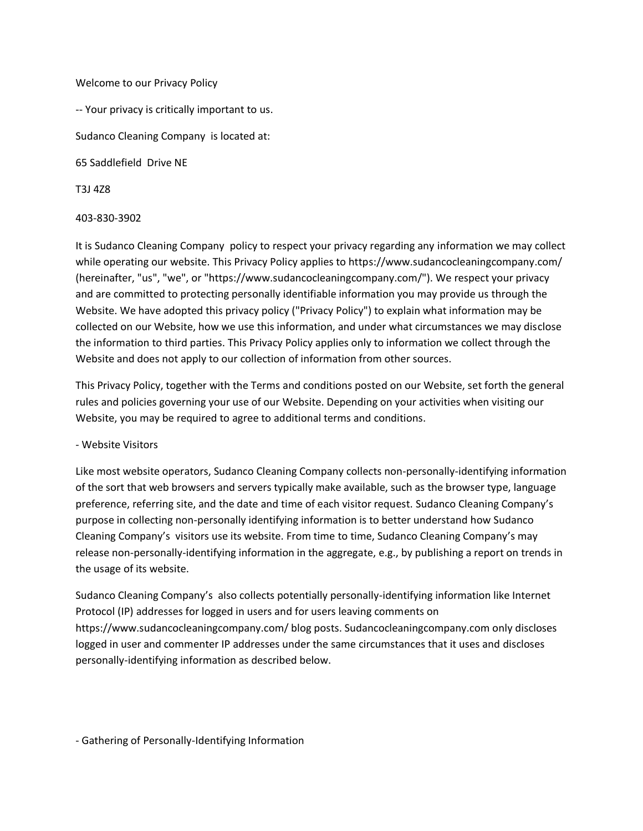### Welcome to our Privacy Policy

-- Your privacy is critically important to us. Sudanco Cleaning Company is located at: 65 Saddlefield Drive NE

T3J 4Z8

### 403-830-3902

It is Sudanco Cleaning Company policy to respect your privacy regarding any information we may collect while operating our website. This Privacy Policy applies to https://www.sudancocleaningcompany.com/ (hereinafter, "us", "we", or "https://www.sudancocleaningcompany.com/"). We respect your privacy and are committed to protecting personally identifiable information you may provide us through the Website. We have adopted this privacy policy ("Privacy Policy") to explain what information may be collected on our Website, how we use this information, and under what circumstances we may disclose the information to third parties. This Privacy Policy applies only to information we collect through the Website and does not apply to our collection of information from other sources.

This Privacy Policy, together with the Terms and conditions posted on our Website, set forth the general rules and policies governing your use of our Website. Depending on your activities when visiting our Website, you may be required to agree to additional terms and conditions.

### - Website Visitors

Like most website operators, Sudanco Cleaning Company collects non-personally-identifying information of the sort that web browsers and servers typically make available, such as the browser type, language preference, referring site, and the date and time of each visitor request. Sudanco Cleaning Company's purpose in collecting non-personally identifying information is to better understand how Sudanco Cleaning Company's visitors use its website. From time to time, Sudanco Cleaning Company's may release non-personally-identifying information in the aggregate, e.g., by publishing a report on trends in the usage of its website.

Sudanco Cleaning Company's also collects potentially personally-identifying information like Internet Protocol (IP) addresses for logged in users and for users leaving comments on https://www.sudancocleaningcompany.com/ blog posts. Sudancocleaningcompany.com only discloses logged in user and commenter IP addresses under the same circumstances that it uses and discloses personally-identifying information as described below.

- Gathering of Personally-Identifying Information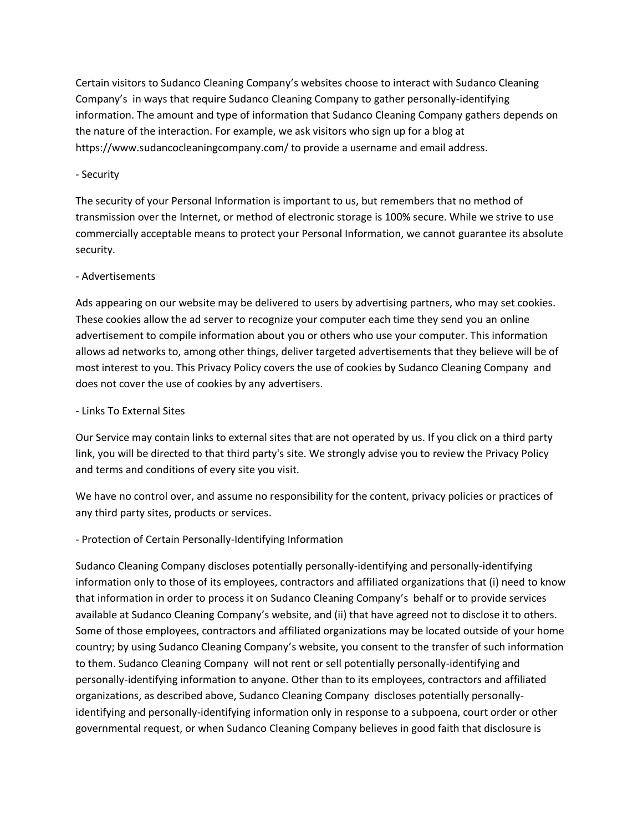Certain visitors to Sudanco Cleaning Company's websites choose to interact with Sudanco Cleaning Company's in ways that require Sudanco Cleaning Company to gather personally-identifying information. The amount and type of information that Sudanco Cleaning Company gathers depends on the nature of the interaction. For example, we ask visitors who sign up for a blog at https://www.sudancocleaningcompany.com/ to provide a username and email address.

### - Security

The security of your Personal Information is important to us, but remembers that no method of transmission over the Internet, or method of electronic storage is 100% secure. While we strive to use commercially acceptable means to protect your Personal Information, we cannot guarantee its absolute security.

### - Advertisements

Ads appearing on our website may be delivered to users by advertising partners, who may set cookies. These cookies allow the ad server to recognize your computer each time they send you an online advertisement to compile information about you or others who use your computer. This information allows ad networks to, among other things, deliver targeted advertisements that they believe will be of most interest to you. This Privacy Policy covers the use of cookies by Sudanco Cleaning Company and does not cover the use of cookies by any advertisers.

### - Links To External Sites

Our Service may contain links to external sites that are not operated by us. If you click on a third party link, you will be directed to that third party's site. We strongly advise you to review the Privacy Policy and terms and conditions of every site you visit.

We have no control over, and assume no responsibility for the content, privacy policies or practices of any third party sites, products or services.

# - Protection of Certain Personally-Identifying Information

Sudanco Cleaning Company discloses potentially personally-identifying and personally-identifying information only to those of its employees, contractors and affiliated organizations that (i) need to know that information in order to process it on Sudanco Cleaning Company's behalf or to provide services available at Sudanco Cleaning Company's website, and (ii) that have agreed not to disclose it to others. Some of those employees, contractors and affiliated organizations may be located outside of your home country; by using Sudanco Cleaning Company's website, you consent to the transfer of such information to them. Sudanco Cleaning Company will not rent or sell potentially personally-identifying and personally-identifying information to anyone. Other than to its employees, contractors and affiliated organizations, as described above, Sudanco Cleaning Company discloses potentially personallyidentifying and personally-identifying information only in response to a subpoena, court order or other governmental request, or when Sudanco Cleaning Company believes in good faith that disclosure is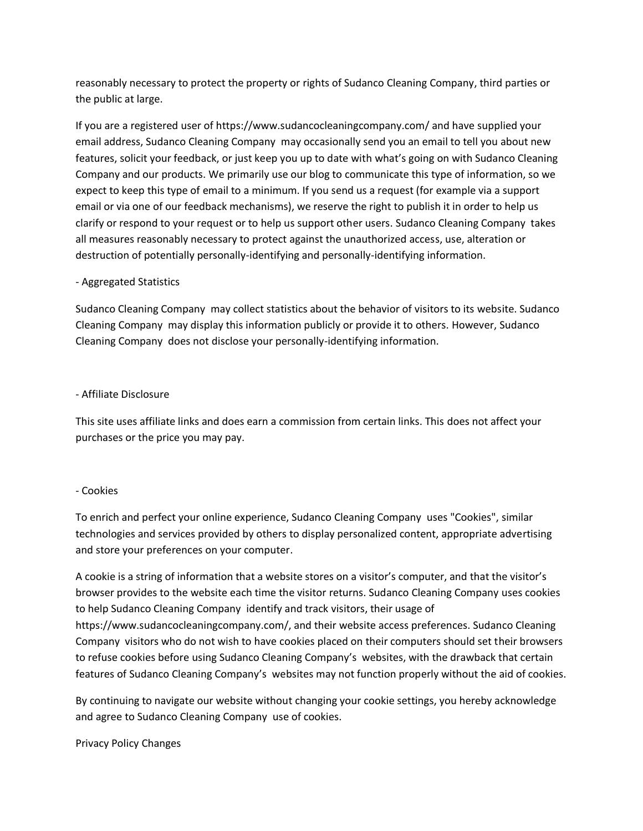reasonably necessary to protect the property or rights of Sudanco Cleaning Company, third parties or the public at large.

If you are a registered user of https://www.sudancocleaningcompany.com/ and have supplied your email address, Sudanco Cleaning Company may occasionally send you an email to tell you about new features, solicit your feedback, or just keep you up to date with what's going on with Sudanco Cleaning Company and our products. We primarily use our blog to communicate this type of information, so we expect to keep this type of email to a minimum. If you send us a request (for example via a support email or via one of our feedback mechanisms), we reserve the right to publish it in order to help us clarify or respond to your request or to help us support other users. Sudanco Cleaning Company takes all measures reasonably necessary to protect against the unauthorized access, use, alteration or destruction of potentially personally-identifying and personally-identifying information.

### - Aggregated Statistics

Sudanco Cleaning Company may collect statistics about the behavior of visitors to its website. Sudanco Cleaning Company may display this information publicly or provide it to others. However, Sudanco Cleaning Company does not disclose your personally-identifying information.

### - Affiliate Disclosure

This site uses affiliate links and does earn a commission from certain links. This does not affect your purchases or the price you may pay.

# - Cookies

To enrich and perfect your online experience, Sudanco Cleaning Company uses "Cookies", similar technologies and services provided by others to display personalized content, appropriate advertising and store your preferences on your computer.

A cookie is a string of information that a website stores on a visitor's computer, and that the visitor's browser provides to the website each time the visitor returns. Sudanco Cleaning Company uses cookies to help Sudanco Cleaning Company identify and track visitors, their usage of https://www.sudancocleaningcompany.com/, and their website access preferences. Sudanco Cleaning Company visitors who do not wish to have cookies placed on their computers should set their browsers to refuse cookies before using Sudanco Cleaning Company's websites, with the drawback that certain features of Sudanco Cleaning Company's websites may not function properly without the aid of cookies.

By continuing to navigate our website without changing your cookie settings, you hereby acknowledge and agree to Sudanco Cleaning Company use of cookies.

### Privacy Policy Changes